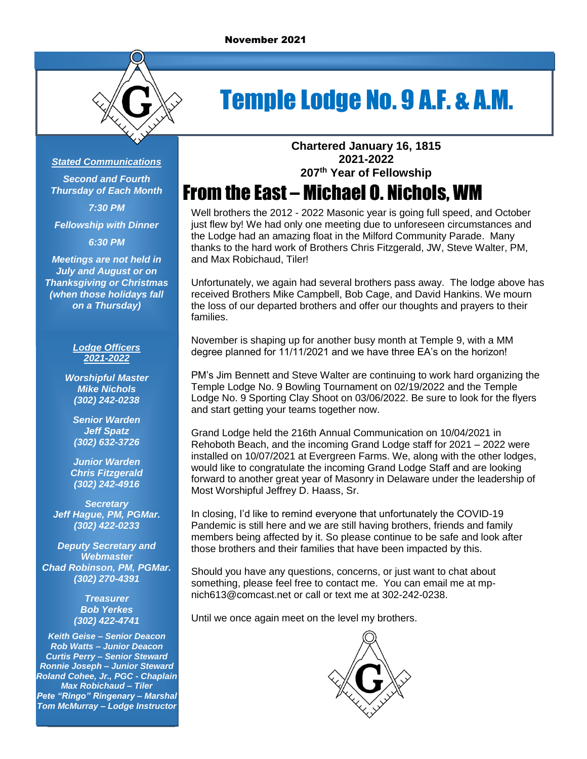

# Temple Lodge No. 9 A.F. & A.M.

#### *Stated Communications*

*Second and Fourth Thursday of Each Month 7:30 PM*

*Fellowship with Dinner*

*6:30 PM*

*Meetings are not held in July and August or on Thanksgiving or Christmas (when those holidays fall on a Thursday)*

#### *Lodge Officers 2021-2022*

*Worshipful Master Mike Nichols (302) 242-0238*

*Senior Warden Jeff Spatz (302) 632-3726*

*Junior Warden Chris Fitzgerald (302) 242-4916*

*Secretary Jeff Hague, PM, PGMar. (302) 422-0233*

*Deputy Secretary and Webmaster Chad Robinson, PM, PGMar. (302) 270-4391*

> *Treasurer Bob Yerkes (302) 422-4741*

*Keith Geise – Senior Deacon Rob Watts – Junior Deacon Curtis Perry – Senior Steward Ronnie Joseph – Junior Steward Roland Cohee, Jr., PGC - Chaplain Max Robichaud – Tiler Pete "Ringo" Ringenary – Marshal Tom McMurray – Lodge Instructor* **Chartered January 16, 1815 2021-2022 207 th Year of Fellowship**

## From the East – Michael O. Nichols, WM

Well brothers the 2012 - 2022 Masonic year is going full speed, and October just flew by! We had only one meeting due to unforeseen circumstances and the Lodge had an amazing float in the Milford Community Parade. Many thanks to the hard work of Brothers Chris Fitzgerald, JW, Steve Walter, PM, and Max Robichaud, Tiler!

Unfortunately, we again had several brothers pass away. The lodge above has received Brothers Mike Campbell, Bob Cage, and David Hankins. We mourn the loss of our departed brothers and offer our thoughts and prayers to their families.

November is shaping up for another busy month at Temple 9, with a MM degree planned for 11/11/2021 and we have three EA's on the horizon!

PM's Jim Bennett and Steve Walter are continuing to work hard organizing the Temple Lodge No. 9 Bowling Tournament on 02/19/2022 and the Temple Lodge No. 9 Sporting Clay Shoot on 03/06/2022. Be sure to look for the flyers and start getting your teams together now.

Grand Lodge held the 216th Annual Communication on 10/04/2021 in Rehoboth Beach, and the incoming Grand Lodge staff for 2021 – 2022 were installed on 10/07/2021 at Evergreen Farms. We, along with the other lodges, would like to congratulate the incoming Grand Lodge Staff and are looking forward to another great year of Masonry in Delaware under the leadership of Most Worshipful Jeffrey D. Haass, Sr.

In closing, I'd like to remind everyone that unfortunately the COVID-19 Pandemic is still here and we are still having brothers, friends and family members being affected by it. So please continue to be safe and look after those brothers and their families that have been impacted by this.

Should you have any questions, concerns, or just want to chat about something, please feel free to contact me. You can email me at mpnich613@comcast.net or call or text me at 302-242-0238.

Until we once again meet on the level my brothers.